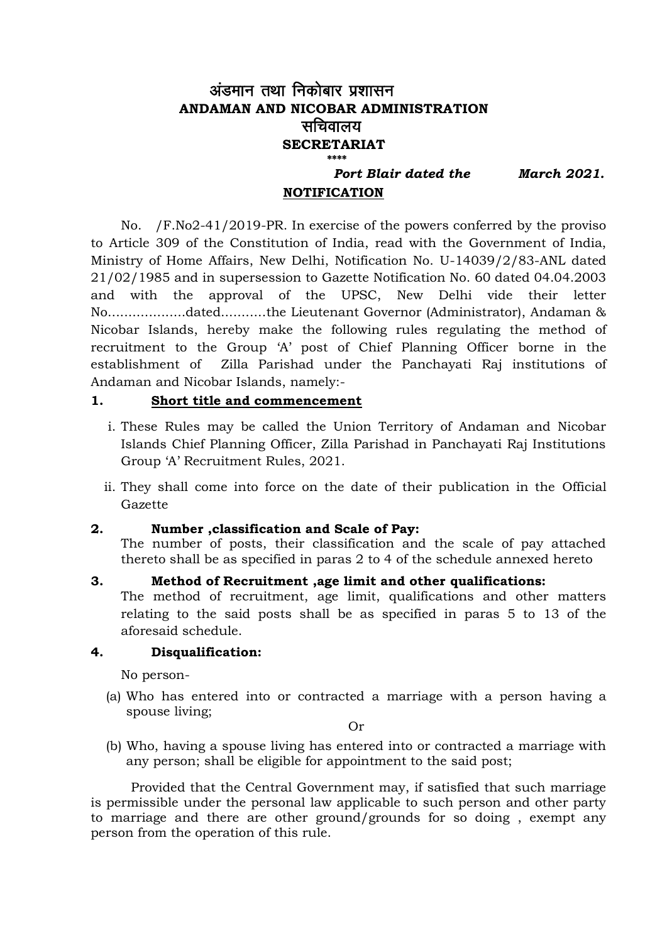## अंडमान तथा निकोबार प्रशासन **ANDAMAN AND NICOBAR ADMINISTRATION** सचिवालय **SECRETARIAT \*\*\*\***

 *Port Blair dated the March 2021.*

#### **NOTIFICATION**

No. /F.No2-41/2019-PR. In exercise of the powers conferred by the proviso to Article 309 of the Constitution of India, read with the Government of India, Ministry of Home Affairs, New Delhi, Notification No. U-14039/2/83-ANL dated 21/02/1985 and in supersession to Gazette Notification No. 60 dated 04.04.2003 and with the approval of the UPSC, New Delhi vide their letter No...................dated...........the Lieutenant Governor (Administrator), Andaman & Nicobar Islands, hereby make the following rules regulating the method of recruitment to the Group 'A' post of Chief Planning Officer borne in the establishment of Zilla Parishad under the Panchayati Raj institutions of Andaman and Nicobar Islands, namely:-

#### **1. Short title and commencement**

- i. These Rules may be called the Union Territory of Andaman and Nicobar Islands Chief Planning Officer, Zilla Parishad in Panchayati Raj Institutions Group 'A' Recruitment Rules, 2021.
- ii. They shall come into force on the date of their publication in the Official Gazette

#### **2. Number ,classification and Scale of Pay:**

The number of posts, their classification and the scale of pay attached thereto shall be as specified in paras 2 to 4 of the schedule annexed hereto

#### **3. Method of Recruitment ,age limit and other qualifications:**

The method of recruitment, age limit, qualifications and other matters relating to the said posts shall be as specified in paras 5 to 13 of the aforesaid schedule.

#### **4. Disqualification:**

No person-

(a) Who has entered into or contracted a marriage with a person having a spouse living;

Or

(b) Who, having a spouse living has entered into or contracted a marriage with any person; shall be eligible for appointment to the said post;

Provided that the Central Government may, if satisfied that such marriage is permissible under the personal law applicable to such person and other party to marriage and there are other ground/grounds for so doing , exempt any person from the operation of this rule.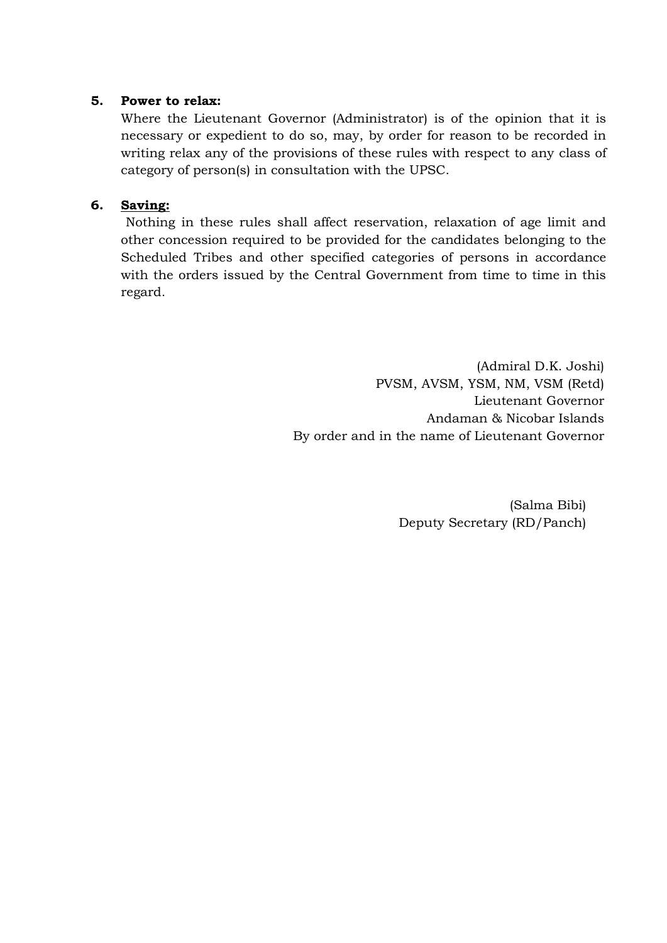#### **5. Power to relax:**

Where the Lieutenant Governor (Administrator) is of the opinion that it is necessary or expedient to do so, may, by order for reason to be recorded in writing relax any of the provisions of these rules with respect to any class of category of person(s) in consultation with the UPSC.

### **6. Saving:**

Nothing in these rules shall affect reservation, relaxation of age limit and other concession required to be provided for the candidates belonging to the Scheduled Tribes and other specified categories of persons in accordance with the orders issued by the Central Government from time to time in this regard.

> (Admiral D.K. Joshi) PVSM, AVSM, YSM, NM, VSM (Retd) Lieutenant Governor Andaman & Nicobar Islands By order and in the name of Lieutenant Governor

> > (Salma Bibi) Deputy Secretary (RD/Panch)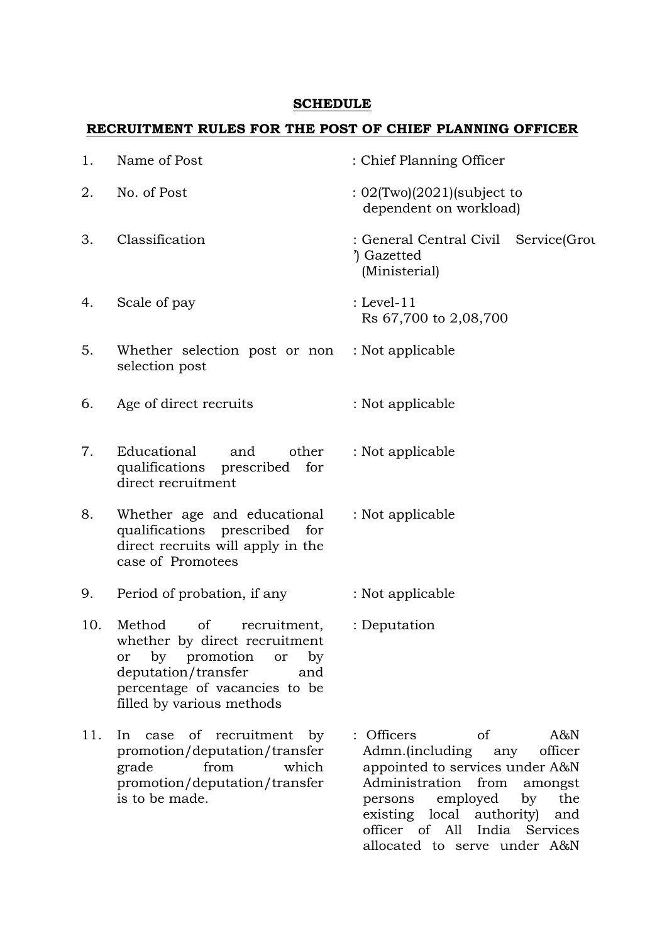#### **SCHEDULE**

## **RECRUITMENT RULES FOR THE POST OF CHIEF PLANNING OFFICER**

| 1.  | Name of Post                                                                                                                                                                                | : Chief Planning Officer                                                                                                                |
|-----|---------------------------------------------------------------------------------------------------------------------------------------------------------------------------------------------|-----------------------------------------------------------------------------------------------------------------------------------------|
| 2.  | No. of Post                                                                                                                                                                                 | $: 02$ (Two)(2021)(subject to<br>dependent on workload)                                                                                 |
| 3.  | Classification                                                                                                                                                                              | : General Central Civil Service(Grou<br>) Gazetted<br>(Ministerial)                                                                     |
| 4.  | Scale of pay                                                                                                                                                                                | : Level-11<br>Rs 67,700 to 2,08,700                                                                                                     |
| 5.  | Whether selection post or non<br>selection post                                                                                                                                             | : Not applicable                                                                                                                        |
| 6.  | Age of direct recruits                                                                                                                                                                      | : Not applicable                                                                                                                        |
| 7.  | Educational<br>and<br>other<br>qualifications prescribed<br>for<br>direct recruitment                                                                                                       | : Not applicable                                                                                                                        |
| 8.  | Whether age and educational<br>qualifications prescribed for<br>direct recruits will apply in the<br>case of Promotees                                                                      | : Not applicable                                                                                                                        |
| 9.  | Period of probation, if any                                                                                                                                                                 | : Not applicable                                                                                                                        |
| 10. | Method of<br>recruitment,<br>whether by direct recruitment<br>promotion<br>by<br>or<br>or<br>by<br>deputation/transfer<br>and<br>percentage of vacancies to be<br>filled by various methods | : Deputation                                                                                                                            |
| 11. | recruitment<br>of<br>by<br>In<br>case<br>promotion/deputation/transfer<br>from<br>which<br>grade<br>promotion/deputation/transfer                                                           | : Officers<br>of<br>$A\&N$<br>Admn.(including<br>officer<br>any<br>appointed to services under A&N<br>Administration<br>from<br>amongst |

is to be made.

persons employed by the existing local authority) and officer of All India Services allocated to serve under A&N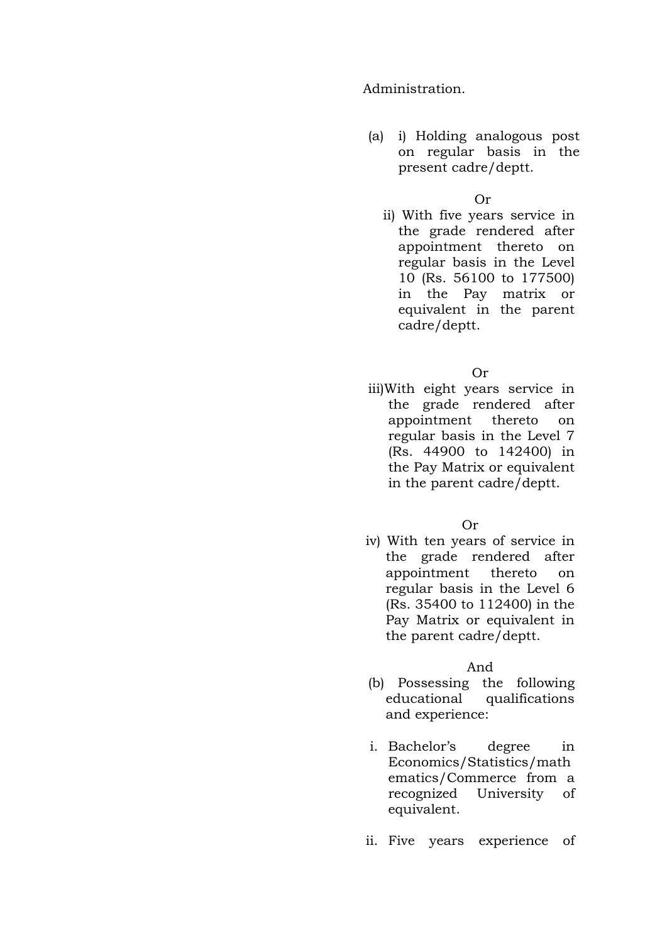Administration.

(a) i) Holding analogous post on regular basis in the present cadre/deptt.

Or

ii) With five years service in the grade rendered after appointment thereto on regular basis in the Level 10 (Rs. 56100 to 177500) in the Pay matrix or equivalent in the parent cadre/deptt.

Or

iii)With eight years service in the grade rendered after appointment thereto on regular basis in the Level 7 (Rs. 44900 to 142400) in the Pay Matrix or equivalent in the parent cadre/deptt.

Or

iv) With ten years of service in the grade rendered after appointment thereto on regular basis in the Level 6 (Rs. 35400 to 112400) in the Pay Matrix or equivalent in the parent cadre/deptt.

And

- (b) Possessing the following educational qualifications and experience:
- i. Bachelor's degree in Economics/Statistics/math ematics/Commerce from a recognized University of equivalent.
- ii. Five years experience of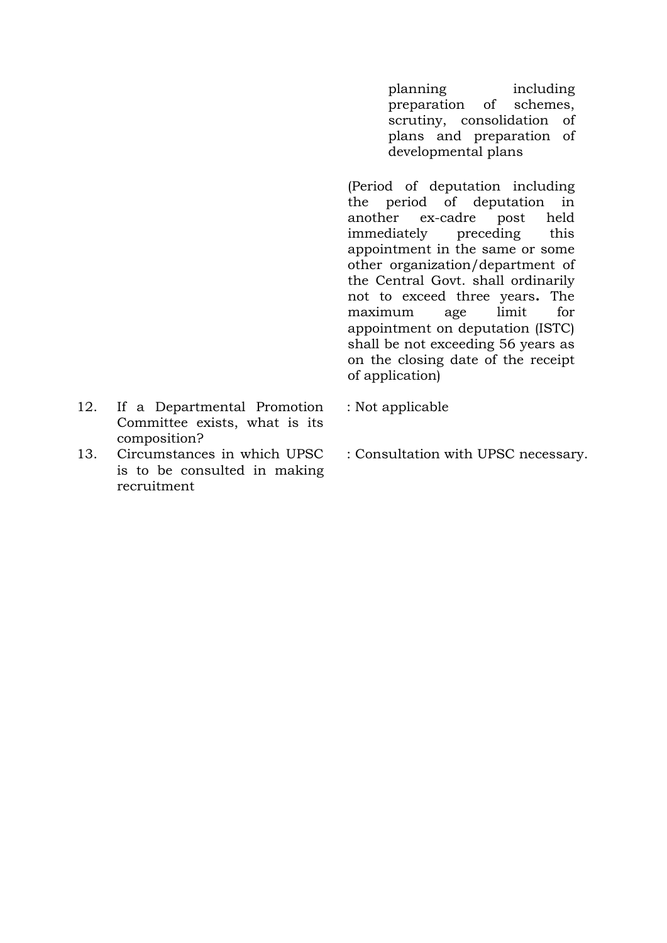planning including preparation of schemes, scrutiny, consolidation of plans and preparation of developmental plans

(Period of deputation including the period of deputation in another ex-cadre post held immediately preceding this appointment in the same or some other organization/department of the Central Govt. shall ordinarily not to exceed three years**.** The maximum age limit for appointment on deputation (ISTC) shall be not exceeding 56 years as on the closing date of the receipt of application)

- 12. If a Departmental Promotion Committee exists, what is its composition?
- 13. Circumstances in which UPSC is to be consulted in making recruitment
- : Not applicable
- : Consultation with UPSC necessary.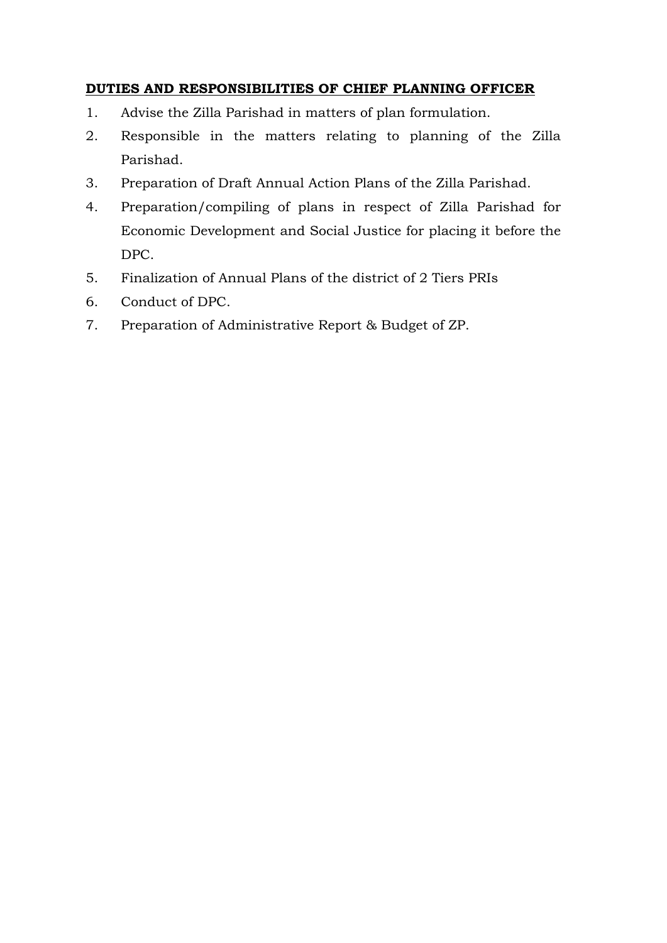## **DUTIES AND RESPONSIBILITIES OF CHIEF PLANNING OFFICER**

- 1. Advise the Zilla Parishad in matters of plan formulation.
- 2. Responsible in the matters relating to planning of the Zilla Parishad.
- 3. Preparation of Draft Annual Action Plans of the Zilla Parishad.
- 4. Preparation/compiling of plans in respect of Zilla Parishad for Economic Development and Social Justice for placing it before the DPC.
- 5. Finalization of Annual Plans of the district of 2 Tiers PRIs
- 6. Conduct of DPC.
- 7. Preparation of Administrative Report & Budget of ZP.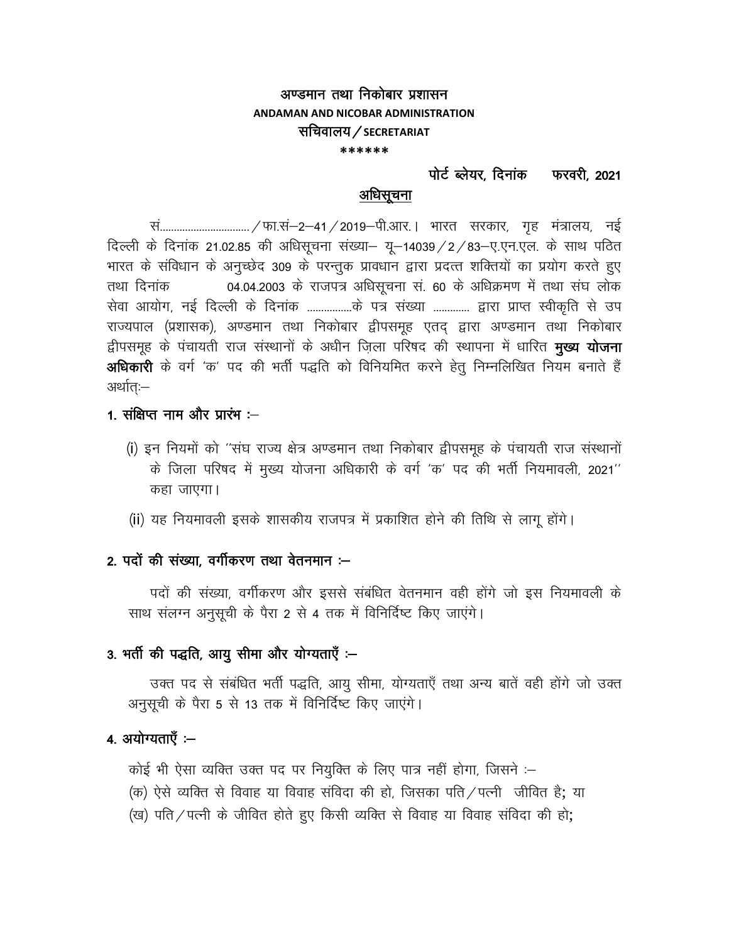#### अण्डमान तथा निकोबार प्रशासन **ANDAMAN AND NICOBAR ADMINISTRATION**

## सचिवालय / SECRETARIAT

\*\*\*\*\*\*

पोर्ट ब्लेयर. दिनांक फरवरी. 2021

#### अधिसूचना

सं................................/ फा.सं-2-41 / 2019-पी.आर. । भारत सरकार, गृह मंत्रालय, नई दिल्ली के दिनांक 21.02.85 की अधिसूचना संख्या- यू-14039 / 2 / 83-ए.एन.एल. के साथ पठित भारत के संविधान के अनुच्छेद 309 के परन्तुक प्रावधान द्वारा प्रदत्त शक्तियों का प्रयोग करते हुए 04.04.2003 के राजपत्र अधिसूचना सं. 60 के अधिक्रमण में तथा संघ लोक तथा दिनांक सेवा आयोग, नई दिल्ली के दिनांक .................के पत्र संख्या ............. द्वारा प्राप्त स्वीकृति से उप राज्यपाल (प्रशासक), अण्डमान तथा निकोबार द्वीपसमूह एतद् द्वारा अण्डमान तथा निकोबार द्वीपसमूह के पंचायती राज संस्थानों के अधीन ज़िला परिषद की स्थापना में धारित **मुख्य योजना** अधिकारी के वर्ग 'क' पद की भर्ती पद्धति को विनियमित करने हेत् निम्नलिखित नियम बनाते हैं अर्थात:—

## 1. संक्षिप्त नाम और प्रारंभ :--

- (i) इन नियमों को ''संघ राज्य क्षेत्र अण्डमान तथा निकोबार द्वीपसमुह के पंचायती राज संस्थानों के जिला परिषद में मुख्य योजना अधिकारी के वर्ग 'क' पद की भर्ती नियमावली, 2021" कहा जाएगा।
- (ii) यह नियमावली इसके शासकीय राजपत्र में प्रकाशित होने की तिथि से लागू होंगे।

## 2. पदों की संख्या, वर्गीकरण तथा वेतनमान :--

पदों की संख्या, वर्गीकरण और इससे संबंधित वेतनमान वही होंगे जो इस नियमावली के साथ संलग्न अनुसूची के पैरा 2 से 4 तक में विनिर्दिष्ट किए जाएंगे।

#### 3. भर्ती की पद्धति, आयु सीमा और योग्यताएँ :-

उक्त पद से संबंधित भर्ती पद्धति, आयु सीमा, योग्यताएँ तथा अन्य बातें वही होंगे जो उक्त अनुसूची के पैरा 5 से 13 तक में विनिर्दिष्ट किए जाएंगे।

## 4. अयोग्यताएँ :-

कोई भी ऐसा व्यक्ति उक्त पद पर नियुक्ति के लिए पात्र नहीं होगा, जिसने :-

- (क) ऐसे व्यक्ति से विवाह या विवाह संविदा की हो, जिसका पति / पत्नी जीवित है; या
- (ख) पति / पत्नी के जीवित होते हुए किसी व्यक्ति से विवाह या विवाह संविदा की हो;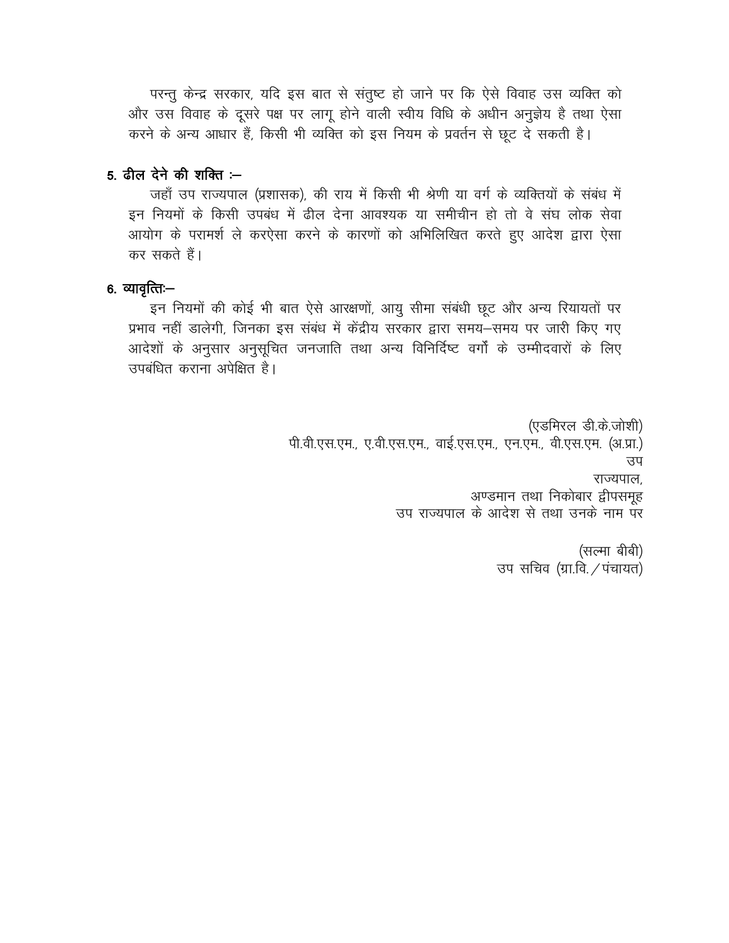परन्तु केन्द्र सरकार, यदि इस बात से संतुष्ट हो जाने पर कि ऐसे विवाह उस व्यक्ति को और उस विवाह के दूसरे पक्ष पर लागू होने वाली स्वीय विधि के अधीन अनुज्ञेय है तथा ऐसा करने के अन्य आधार हैं, किसी भी व्यक्ति को इस नियम के प्रवर्तन से छूट दे सकती है।

#### 5. ढील देने की शक्ति $-$

जहाँ उप राज्यपाल (प्रशासक), की राय में किसी भी श्रेणी या वर्ग के व्यक्तियों के संबंध में इन नियमों के किसी उपबंध में ढील देना आवश्यक या समीचीन हो तो वे संघ लोक सेवा आयोग के परामर्श ले करऐसा करने के कारणों को अभिलिखित करते हुए आदेश द्वारा ऐसा कर सकते हैं।

## 6. व्यावृत्तिः—

इन नियमों की कोई भी बात ऐसे आरक्षणों, आयु सीमा संबंधी छूट और अन्य रियायतों पर प्रभाव नहीं डालेगी, जिनका इस संबंध में केंद्रीय सरकार द्वारा समय–समय पर जारी किए गए आदेशों के अनुसार अनुसूचित जनजाति तथा अन्य विनिर्दिष्ट वर्गों के उम्मीदवारों के लिए उपबंधित कराना अपेक्षित है।

> (एडमिरल डी.के.जोशी) पी.वी.एस.एम., ए.वी.एस.एम., वाई.एस.एम., एन.एम., वी.एस.एम. (अ.प्रा.) उप राज्यपाल, अण्डमान तथा निकोबार द्वीपसमूह उप राज्यपाल के आदेश से तथा उनके नाम पर

> > (सल्मा बीबी) उप सचिव (ग्रा.वि. / पंचायत)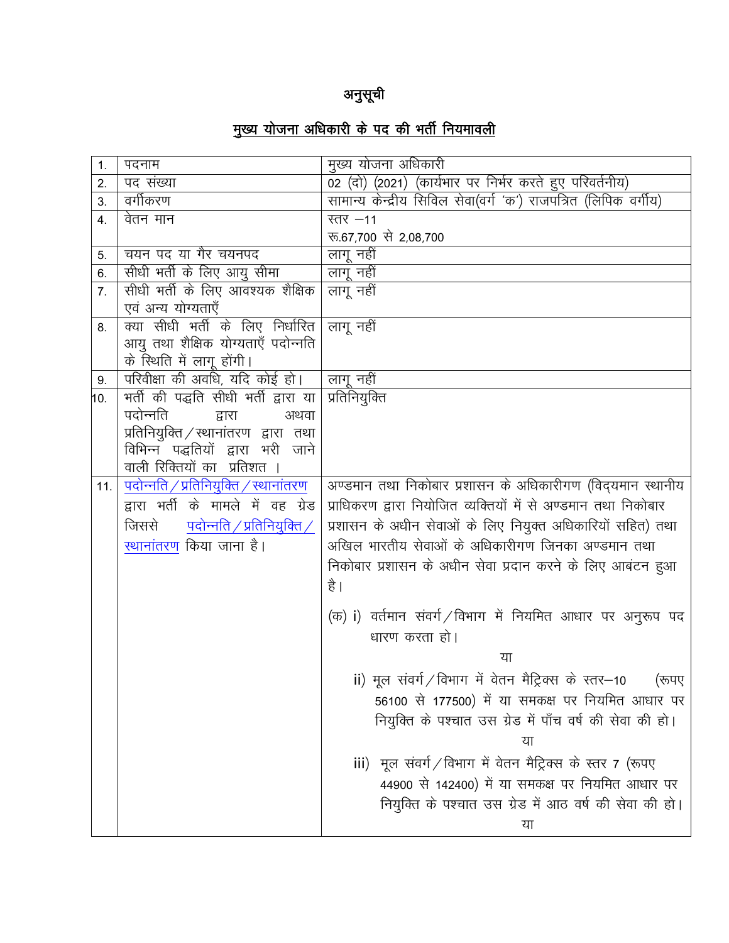## अनुसूची

# <u>मुख्य योजना अधिकारी के पद की भर्ती नियमावली</u>

| 1.  | पदनाम                                        | मुख्य योजना अधिकारी                                             |
|-----|----------------------------------------------|-----------------------------------------------------------------|
| 2.  | पद संख्या                                    | 02 (दो) (2021) (कार्यभार पर निर्भर करते हुए परिवर्तनीय)         |
| 3.  | वर्गीकरण                                     | सामान्य केन्द्रीय सिविल सेवा(वर्ग 'क') राजपत्रित (लिपिक वर्गीय) |
| 4.  | वेतन मान                                     | स्तर $-11$                                                      |
|     |                                              | रू.67,700 से 2,08,700                                           |
| 5.  | चयन पद या गैर चयनपद                          | लागू नहीं                                                       |
| 6.  | सीधी भर्ती के लिए आयु सीमा                   | लागू नहीं                                                       |
| 7.  | सीधी भर्ती के लिए आवश्यक शैक्षिक             | लागू नहीं                                                       |
|     | एवं अन्य योग्यताएँ                           |                                                                 |
| 8.  | क्या सीधी भर्ती के लिए निर्धारित             | लागू नहीं                                                       |
|     | आयु तथा शैक्षिक योग्यताएँ पदोन्नति           |                                                                 |
|     | के स्थिति में लागू होंगी।                    |                                                                 |
| 9.  | परिवीक्षा की अवधि, यदि कोई हो।               | लागू नहीं                                                       |
| 10. | भर्ती की पद्धति सीधी भर्ती द्वारा या         | प्रतिनियुक्ति                                                   |
|     | पदोन्नति<br>द्वारा<br>अथवा                   |                                                                 |
|     | प्रतिनियुक्ति / स्थानांतरण द्वारा तथा        |                                                                 |
|     | विभिन्न पद्धतियों द्वारा भरी जाने            |                                                                 |
|     | वाली रिक्तियों का प्रतिशत ।                  |                                                                 |
| 11. | <u>पदोन्नति / प्रतिनियुक्ति / स्थानांतरण</u> | अण्डमान तथा निकोबार प्रशासन के अधिकारीगण (विद्यमान स्थानीय      |
|     | द्वारा भर्ती के मामले में वह ग्रेड           | प्राधिकरण द्वारा नियोजित व्यक्तियों में से अण्डमान तथा निकोबार  |
|     | पदोन्नति / प्रतिनियुक्ति /<br>जिससे          | प्रशासन के अधीन सेवाओं के लिए नियुक्त अधिकारियों सहित) तथा      |
|     | स्थानांतरण किया जाना है।                     | अखिल भारतीय सेवाओं के अधिकारीगण जिनका अण्डमान तथा               |
|     |                                              | निकोबार प्रशासन के अधीन सेवा प्रदान करने के लिए आबंटन हुआ       |
|     |                                              | है ।                                                            |
|     |                                              |                                                                 |
|     |                                              | (क) i) वर्तमान संवर्ग ⁄विभाग में नियमित आधार पर अनुरूप पद       |
|     |                                              | धारण करता हो।                                                   |
|     |                                              | या                                                              |
|     |                                              | ii) मूल संवर्ग/विभाग में वेतन मैट्रिक्स के स्तर–10<br>(रूपए     |
|     |                                              | 56100 से 177500) में या समकक्ष पर नियमित आधार पर                |
|     |                                              | नियुक्ति के पश्चात उस ग्रेड में पाँच वर्ष की सेवा की हो।        |
|     |                                              |                                                                 |
|     |                                              |                                                                 |
|     |                                              | iii) मूल संवर्ग/विभाग में वेतन मैट्रिक्स के स्तर 7 (रूपए        |
|     |                                              | 44900 से 142400) में या समकक्ष पर नियमित आधार पर                |
|     |                                              | नियुक्ति के पश्चात उस ग्रेड में आठ वर्ष की सेवा की हो।          |
|     |                                              | या                                                              |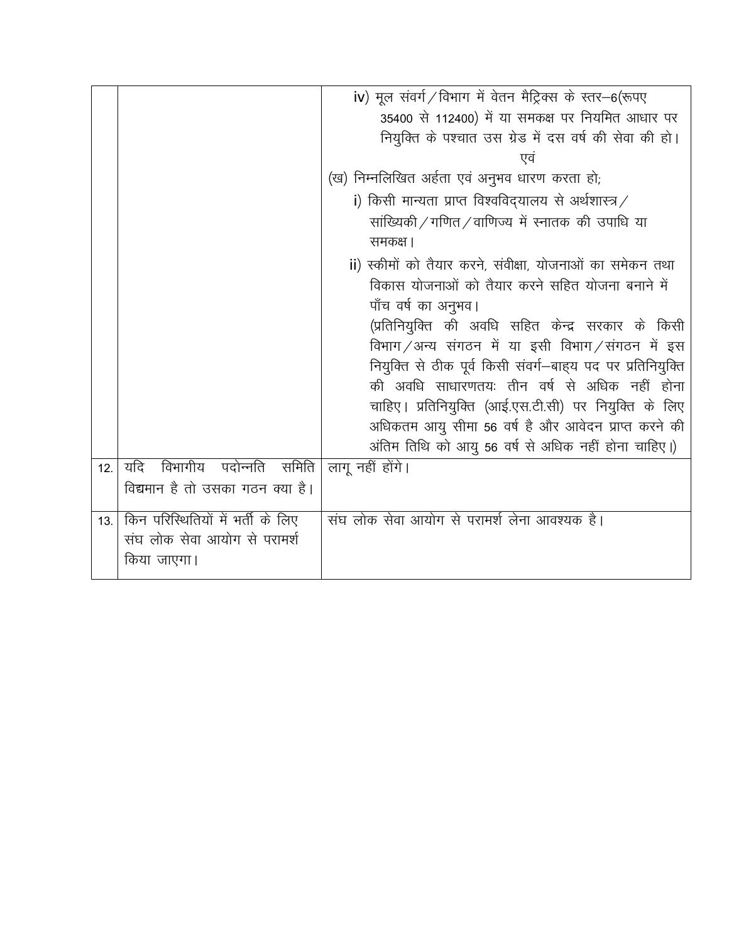|     |                                   | iv) मूल संवर्ग/विभाग में वेतन मैट्रिक्स के स्तर-6(रूपए      |
|-----|-----------------------------------|-------------------------------------------------------------|
|     |                                   | 35400 से 112400) में या समकक्ष पर नियमित आधार पर            |
|     |                                   | नियुक्ति के पश्चात उस ग्रेड में दस वर्ष की सेवा की हो।      |
|     |                                   | एव                                                          |
|     |                                   | (ख) निम्नलिखित अर्हता एवं अनुभव धारण करता हो;               |
|     |                                   | i) किसी मान्यता प्राप्त विश्वविद्यालय से अर्थशास्त्र /      |
|     |                                   | सांख्यिकी/गणित/वाणिज्य में स्नातक की उपाधि या               |
|     |                                   | समकक्ष ।                                                    |
|     |                                   | ii) स्कीमों को तैयार करने, संवीक्षा, योजनाओं का समेकन तथा   |
|     |                                   | विकास योजनाओं को तैयार करने सहित योजना बनाने में            |
|     |                                   | पाँच वर्ष का अनुभव।                                         |
|     |                                   | (प्रतिनियुक्ति की अवधि सहित केन्द्र सरकार के किसी           |
|     |                                   | विभाग / अन्य संगठन में या इसी विभाग / संगठन में इस          |
|     |                                   | नियुक्ति से ठीक पूर्व किसी संवर्ग-बाह्य पद पर प्रतिनियुक्ति |
|     |                                   | की अवधि साधारणतयः तीन वर्ष से अधिक नहीं होना                |
|     |                                   | चाहिए । प्रतिनियुक्ति (आई.एस.टी.सी) पर नियुक्ति के लिए      |
|     |                                   | अधिकतम आयु सीमा 56 वर्ष है और आवेदन प्राप्त करने की         |
|     |                                   | अंतिम तिथि को आयु 56 वर्ष से अधिक नहीं होना चाहिए।)         |
| 12. | यदि<br>विभागीय पदोन्नति समिति     | लागू नहीं होंगे।                                            |
|     | विद्यमान है तो उसका गठन क्या है।  |                                                             |
| 13. | किन परिस्थितियों में भर्ती के लिए | संघ लोक सेवा आयोग से परामर्श लेना आवश्यक है।                |
|     | संघ लोक सेवा आयोग से परामर्श      |                                                             |
|     | किया जाएगा।                       |                                                             |
|     |                                   |                                                             |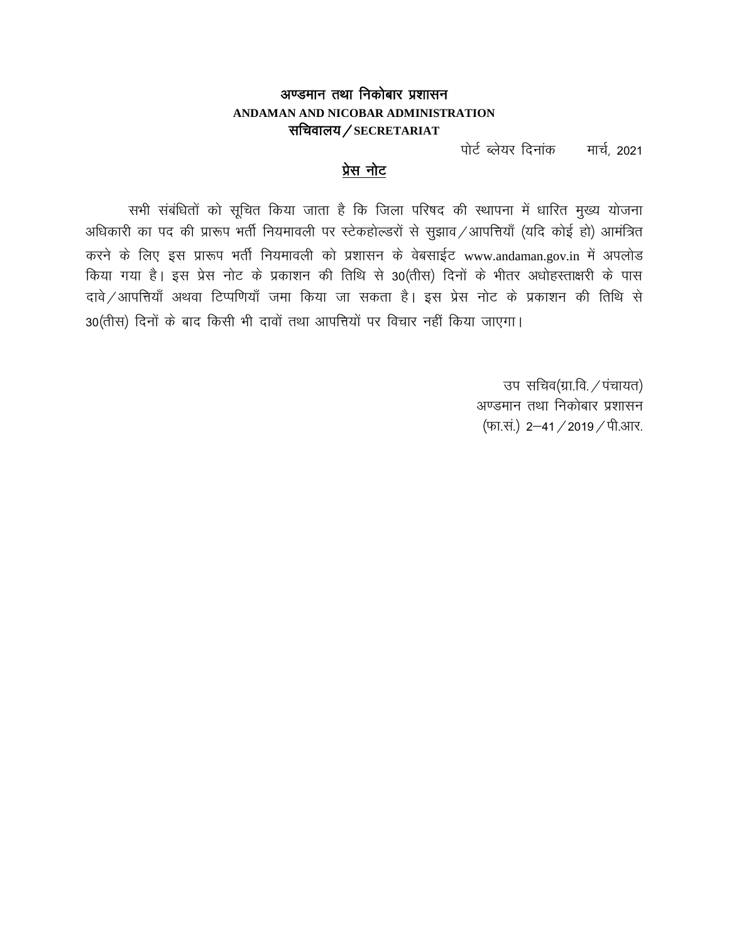## अण्डमान तथा निकोबार प्रशासन ANDAMAN AND NICOBAR ADMINISTRATION सचिवालय/SECRETARIAT

पोर्ट ब्लेयर दिनांक मार्च, 2021

#### प्रेस नोट

सभी संबंधितों को सूचित किया जाता है कि जिला परिषद की स्थापना में धारित मुख्य योजना अधिकारी का पद की प्रारूप भर्ती नियमावली पर स्टेकहोल्डरों से सुझाव /आपत्तियाँ (यदि कोई हो) आमंत्रित करने के लिए इस प्रारूप भर्ती नियमावली को प्रशासन के वेबसाईट www.andaman.gov.in में अपलोड किया गया है। इस प्रेस नोट के प्रकाशन की तिथि से 30(तीस) दिनों के भीतर अधोहस्ताक्षरी के पास दावे / आपत्तियाँ अथवा टिप्पणियाँ जमा किया जा सकता है। इस प्रेस नोट के प्रकाशन की तिथि से 30(तीस) दिनों के बाद किसी भी दावों तथा आपत्तियों पर विचार नहीं किया जाएगा।

> उप सचिव(ग्रा.वि. / पंचायत) अण्डमान तथा निकोबार प्रशासन (फा.सं.) 2-41 / 2019 / पी.आर.